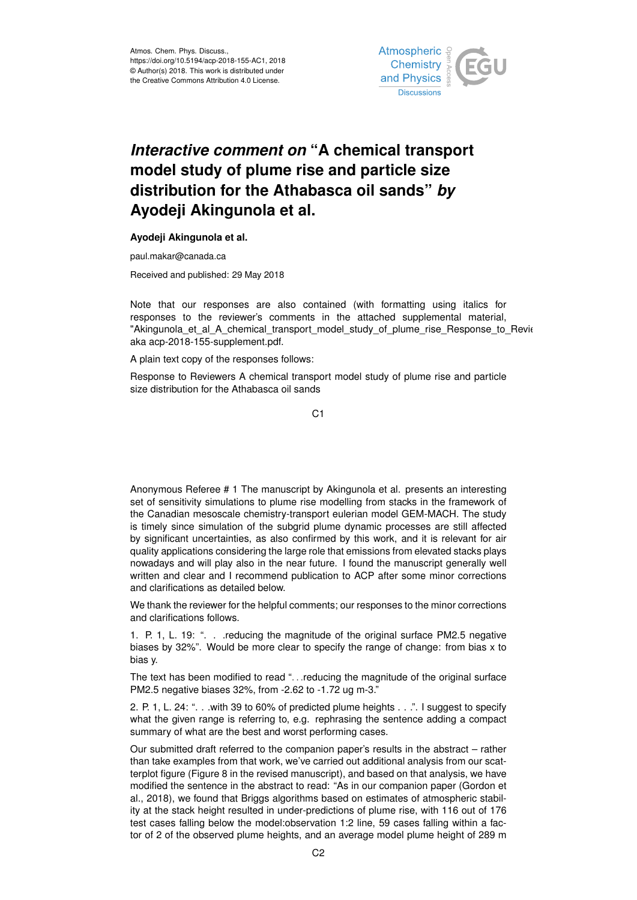

## *Interactive comment on* **"A chemical transport model study of plume rise and particle size distribution for the Athabasca oil sands"** *by* **Ayodeji Akingunola et al.**

## **Ayodeji Akingunola et al.**

paul.makar@canada.ca

Received and published: 29 May 2018

Note that our responses are also contained (with formatting using italics for responses to the reviewer's comments in the attached supplemental material, "Akingunola et al A chemical transport model study of plume rise Response to Revie aka acp-2018-155-supplement.pdf.

A plain text copy of the responses follows:

Response to Reviewers A chemical transport model study of plume rise and particle size distribution for the Athabasca oil sands

C1

Anonymous Referee # 1 The manuscript by Akingunola et al. presents an interesting set of sensitivity simulations to plume rise modelling from stacks in the framework of the Canadian mesoscale chemistry-transport eulerian model GEM-MACH. The study is timely since simulation of the subgrid plume dynamic processes are still affected by significant uncertainties, as also confirmed by this work, and it is relevant for air quality applications considering the large role that emissions from elevated stacks plays nowadays and will play also in the near future. I found the manuscript generally well written and clear and I recommend publication to ACP after some minor corrections and clarifications as detailed below.

We thank the reviewer for the helpful comments; our responses to the minor corrections and clarifications follows.

1. P. 1, L. 19: ". . .reducing the magnitude of the original surface PM2.5 negative biases by 32%". Would be more clear to specify the range of change: from bias x to bias y.

The text has been modified to read "... reducing the magnitude of the original surface PM2.5 negative biases 32%, from -2.62 to -1.72 ug m-3."

2. P. 1, L. 24: ". . .with 39 to 60% of predicted plume heights . . .". I suggest to specify what the given range is referring to, e.g. rephrasing the sentence adding a compact summary of what are the best and worst performing cases.

Our submitted draft referred to the companion paper's results in the abstract – rather than take examples from that work, we've carried out additional analysis from our scatterplot figure (Figure 8 in the revised manuscript), and based on that analysis, we have modified the sentence in the abstract to read: "As in our companion paper (Gordon et al., 2018), we found that Briggs algorithms based on estimates of atmospheric stability at the stack height resulted in under-predictions of plume rise, with 116 out of 176 test cases falling below the model:observation 1:2 line, 59 cases falling within a factor of 2 of the observed plume heights, and an average model plume height of 289 m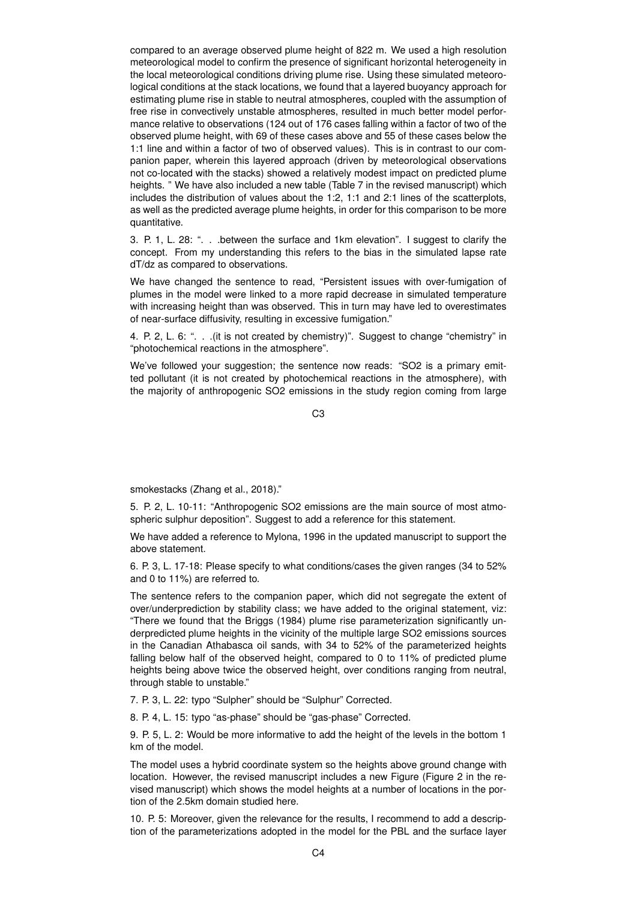compared to an average observed plume height of 822 m. We used a high resolution meteorological model to confirm the presence of significant horizontal heterogeneity in the local meteorological conditions driving plume rise. Using these simulated meteorological conditions at the stack locations, we found that a layered buoyancy approach for estimating plume rise in stable to neutral atmospheres, coupled with the assumption of free rise in convectively unstable atmospheres, resulted in much better model performance relative to observations (124 out of 176 cases falling within a factor of two of the observed plume height, with 69 of these cases above and 55 of these cases below the 1:1 line and within a factor of two of observed values). This is in contrast to our companion paper, wherein this layered approach (driven by meteorological observations not co-located with the stacks) showed a relatively modest impact on predicted plume heights. " We have also included a new table (Table 7 in the revised manuscript) which includes the distribution of values about the 1:2, 1:1 and 2:1 lines of the scatterplots, as well as the predicted average plume heights, in order for this comparison to be more quantitative.

3. P. 1, L. 28: ". . .between the surface and 1km elevation". I suggest to clarify the concept. From my understanding this refers to the bias in the simulated lapse rate dT/dz as compared to observations.

We have changed the sentence to read, "Persistent issues with over-fumigation of plumes in the model were linked to a more rapid decrease in simulated temperature with increasing height than was observed. This in turn may have led to overestimates of near-surface diffusivity, resulting in excessive fumigation."

4. P. 2, L. 6: ". . .(it is not created by chemistry)". Suggest to change "chemistry" in "photochemical reactions in the atmosphere".

We've followed your suggestion; the sentence now reads: "SO2 is a primary emitted pollutant (it is not created by photochemical reactions in the atmosphere), with the majority of anthropogenic SO2 emissions in the study region coming from large

C3

smokestacks (Zhang et al., 2018)."

5. P. 2, L. 10-11: "Anthropogenic SO2 emissions are the main source of most atmospheric sulphur deposition". Suggest to add a reference for this statement.

We have added a reference to Mylona, 1996 in the updated manuscript to support the above statement.

6. P. 3, L. 17-18: Please specify to what conditions/cases the given ranges (34 to 52% and 0 to 11%) are referred to.

The sentence refers to the companion paper, which did not segregate the extent of over/underprediction by stability class; we have added to the original statement, viz: "There we found that the Briggs (1984) plume rise parameterization significantly underpredicted plume heights in the vicinity of the multiple large SO2 emissions sources in the Canadian Athabasca oil sands, with 34 to 52% of the parameterized heights falling below half of the observed height, compared to 0 to 11% of predicted plume heights being above twice the observed height, over conditions ranging from neutral, through stable to unstable."

7. P. 3, L. 22: typo "Sulpher" should be "Sulphur" Corrected.

8. P. 4, L. 15: typo "as-phase" should be "gas-phase" Corrected.

9. P. 5, L. 2: Would be more informative to add the height of the levels in the bottom 1 km of the model.

The model uses a hybrid coordinate system so the heights above ground change with location. However, the revised manuscript includes a new Figure (Figure 2 in the revised manuscript) which shows the model heights at a number of locations in the portion of the 2.5km domain studied here.

10. P. 5: Moreover, given the relevance for the results, I recommend to add a description of the parameterizations adopted in the model for the PBL and the surface layer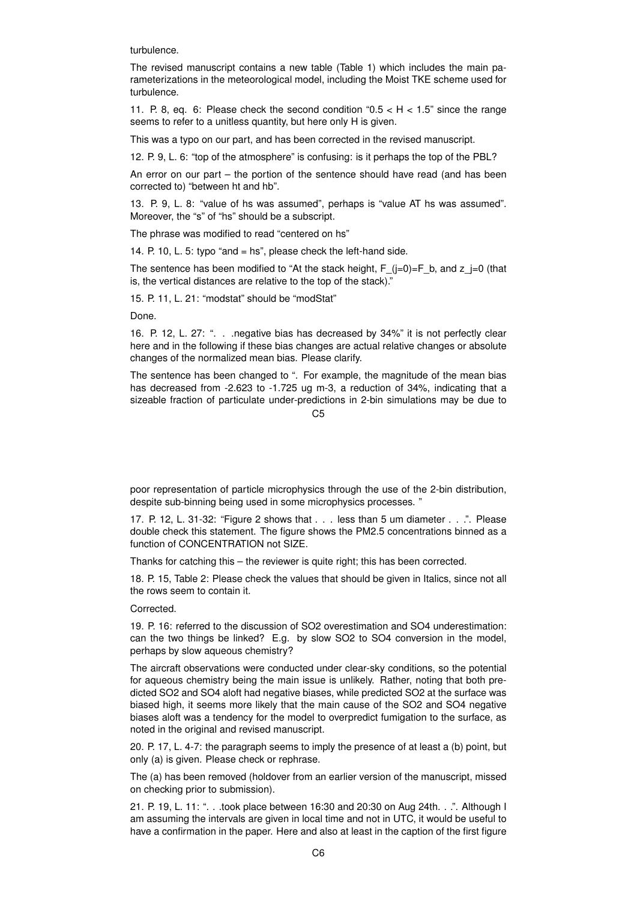turbulence.

The revised manuscript contains a new table (Table 1) which includes the main parameterizations in the meteorological model, including the Moist TKE scheme used for turbulence.

11. P. 8, eq. 6: Please check the second condition " $0.5 < H < 1.5$ " since the range seems to refer to a unitless quantity, but here only H is given.

This was a typo on our part, and has been corrected in the revised manuscript.

12. P. 9, L. 6: "top of the atmosphere" is confusing: is it perhaps the top of the PBL?

An error on our part – the portion of the sentence should have read (and has been corrected to) "between ht and hb".

13. P. 9, L. 8: "value of hs was assumed", perhaps is "value AT hs was assumed". Moreover, the "s" of "hs" should be a subscript.

The phrase was modified to read "centered on hs"

14. P. 10, L. 5: typo "and = hs", please check the left-hand side.

The sentence has been modified to "At the stack height,  $F_{(j=0)=F_b}$ , and  $z_{(j=0)}$  (that is, the vertical distances are relative to the top of the stack)."

15. P. 11, L. 21: "modstat" should be "modStat"

Done.

16. P. 12, L. 27: ". . .negative bias has decreased by 34%" it is not perfectly clear here and in the following if these bias changes are actual relative changes or absolute changes of the normalized mean bias. Please clarify.

The sentence has been changed to ". For example, the magnitude of the mean bias has decreased from -2.623 to -1.725 ug m-3, a reduction of 34%, indicating that a sizeable fraction of particulate under-predictions in 2-bin simulations may be due to

 $C<sub>5</sub>$ 

poor representation of particle microphysics through the use of the 2-bin distribution, despite sub-binning being used in some microphysics processes. "

17. P. 12, L. 31-32: "Figure 2 shows that . . . less than 5 um diameter . . .". Please double check this statement. The figure shows the PM2.5 concentrations binned as a function of CONCENTRATION not SIZE.

Thanks for catching this – the reviewer is quite right; this has been corrected.

18. P. 15, Table 2: Please check the values that should be given in Italics, since not all the rows seem to contain it.

Corrected.

19. P. 16: referred to the discussion of SO2 overestimation and SO4 underestimation: can the two things be linked? E.g. by slow SO2 to SO4 conversion in the model, perhaps by slow aqueous chemistry?

The aircraft observations were conducted under clear-sky conditions, so the potential for aqueous chemistry being the main issue is unlikely. Rather, noting that both predicted SO2 and SO4 aloft had negative biases, while predicted SO2 at the surface was biased high, it seems more likely that the main cause of the SO2 and SO4 negative biases aloft was a tendency for the model to overpredict fumigation to the surface, as noted in the original and revised manuscript.

20. P. 17, L. 4-7: the paragraph seems to imply the presence of at least a (b) point, but only (a) is given. Please check or rephrase.

The (a) has been removed (holdover from an earlier version of the manuscript, missed on checking prior to submission).

21. P. 19, L. 11: ". . .took place between 16:30 and 20:30 on Aug 24th. . .". Although I am assuming the intervals are given in local time and not in UTC, it would be useful to have a confirmation in the paper. Here and also at least in the caption of the first figure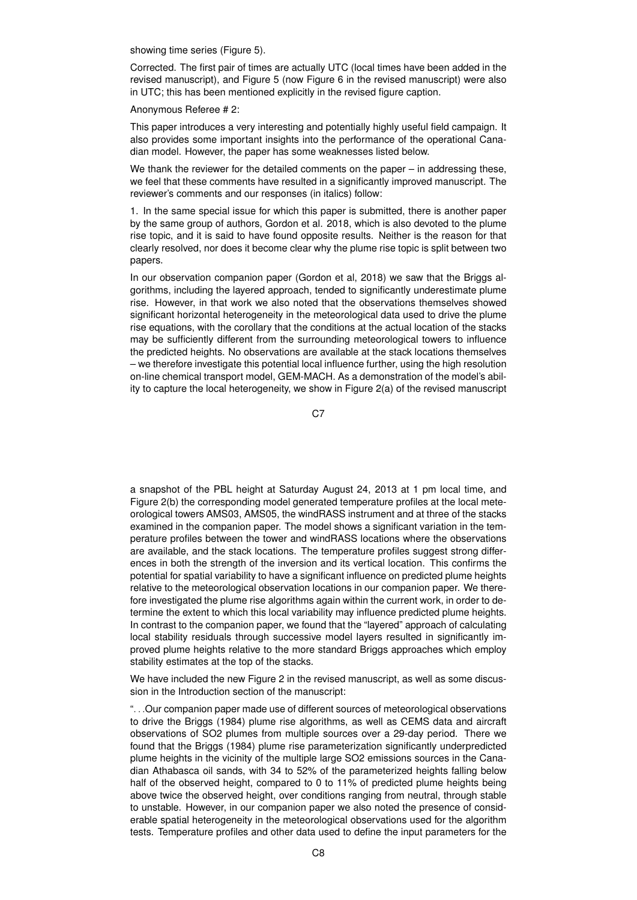showing time series (Figure 5).

Corrected. The first pair of times are actually UTC (local times have been added in the revised manuscript), and Figure 5 (now Figure 6 in the revised manuscript) were also in UTC; this has been mentioned explicitly in the revised figure caption.

Anonymous Referee # 2:

This paper introduces a very interesting and potentially highly useful field campaign. It also provides some important insights into the performance of the operational Canadian model. However, the paper has some weaknesses listed below.

We thank the reviewer for the detailed comments on the paper – in addressing these, we feel that these comments have resulted in a significantly improved manuscript. The reviewer's comments and our responses (in italics) follow:

1. In the same special issue for which this paper is submitted, there is another paper by the same group of authors, Gordon et al. 2018, which is also devoted to the plume rise topic, and it is said to have found opposite results. Neither is the reason for that clearly resolved, nor does it become clear why the plume rise topic is split between two papers.

In our observation companion paper (Gordon et al, 2018) we saw that the Briggs algorithms, including the layered approach, tended to significantly underestimate plume rise. However, in that work we also noted that the observations themselves showed significant horizontal heterogeneity in the meteorological data used to drive the plume rise equations, with the corollary that the conditions at the actual location of the stacks may be sufficiently different from the surrounding meteorological towers to influence the predicted heights. No observations are available at the stack locations themselves – we therefore investigate this potential local influence further, using the high resolution on-line chemical transport model, GEM-MACH. As a demonstration of the model's ability to capture the local heterogeneity, we show in Figure 2(a) of the revised manuscript

C7

a snapshot of the PBL height at Saturday August 24, 2013 at 1 pm local time, and Figure 2(b) the corresponding model generated temperature profiles at the local meteorological towers AMS03, AMS05, the windRASS instrument and at three of the stacks examined in the companion paper. The model shows a significant variation in the temperature profiles between the tower and windRASS locations where the observations are available, and the stack locations. The temperature profiles suggest strong differences in both the strength of the inversion and its vertical location. This confirms the potential for spatial variability to have a significant influence on predicted plume heights relative to the meteorological observation locations in our companion paper. We therefore investigated the plume rise algorithms again within the current work, in order to determine the extent to which this local variability may influence predicted plume heights. In contrast to the companion paper, we found that the "layered" approach of calculating local stability residuals through successive model layers resulted in significantly improved plume heights relative to the more standard Briggs approaches which employ stability estimates at the top of the stacks.

We have included the new Figure 2 in the revised manuscript, as well as some discussion in the Introduction section of the manuscript:

". . .Our companion paper made use of different sources of meteorological observations to drive the Briggs (1984) plume rise algorithms, as well as CEMS data and aircraft observations of SO2 plumes from multiple sources over a 29-day period. There we found that the Briggs (1984) plume rise parameterization significantly underpredicted plume heights in the vicinity of the multiple large SO2 emissions sources in the Canadian Athabasca oil sands, with 34 to 52% of the parameterized heights falling below half of the observed height, compared to 0 to 11% of predicted plume heights being above twice the observed height, over conditions ranging from neutral, through stable to unstable. However, in our companion paper we also noted the presence of considerable spatial heterogeneity in the meteorological observations used for the algorithm tests. Temperature profiles and other data used to define the input parameters for the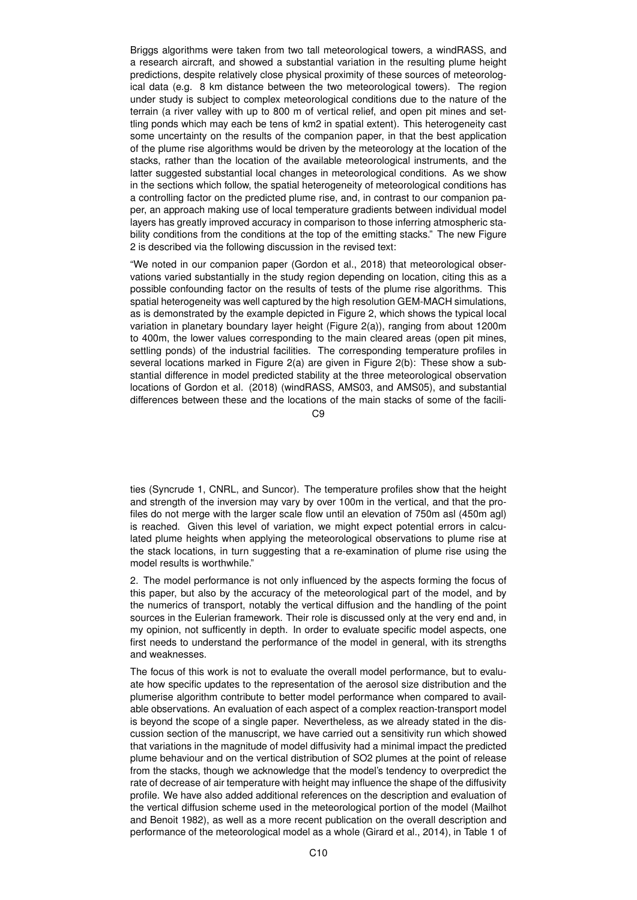Briggs algorithms were taken from two tall meteorological towers, a windRASS, and a research aircraft, and showed a substantial variation in the resulting plume height predictions, despite relatively close physical proximity of these sources of meteorological data (e.g. 8 km distance between the two meteorological towers). The region under study is subject to complex meteorological conditions due to the nature of the terrain (a river valley with up to 800 m of vertical relief, and open pit mines and settling ponds which may each be tens of km2 in spatial extent). This heterogeneity cast some uncertainty on the results of the companion paper, in that the best application of the plume rise algorithms would be driven by the meteorology at the location of the stacks, rather than the location of the available meteorological instruments, and the latter suggested substantial local changes in meteorological conditions. As we show in the sections which follow, the spatial heterogeneity of meteorological conditions has a controlling factor on the predicted plume rise, and, in contrast to our companion paper, an approach making use of local temperature gradients between individual model layers has greatly improved accuracy in comparison to those inferring atmospheric stability conditions from the conditions at the top of the emitting stacks." The new Figure 2 is described via the following discussion in the revised text:

"We noted in our companion paper (Gordon et al., 2018) that meteorological observations varied substantially in the study region depending on location, citing this as a possible confounding factor on the results of tests of the plume rise algorithms. This spatial heterogeneity was well captured by the high resolution GEM-MACH simulations, as is demonstrated by the example depicted in Figure 2, which shows the typical local variation in planetary boundary layer height (Figure 2(a)), ranging from about 1200m to 400m, the lower values corresponding to the main cleared areas (open pit mines, settling ponds) of the industrial facilities. The corresponding temperature profiles in several locations marked in Figure 2(a) are given in Figure 2(b): These show a substantial difference in model predicted stability at the three meteorological observation locations of Gordon et al. (2018) (windRASS, AMS03, and AMS05), and substantial differences between these and the locations of the main stacks of some of the facili-

 $C<sub>9</sub>$ 

ties (Syncrude 1, CNRL, and Suncor). The temperature profiles show that the height and strength of the inversion may vary by over 100m in the vertical, and that the profiles do not merge with the larger scale flow until an elevation of 750m asl (450m agl) is reached. Given this level of variation, we might expect potential errors in calculated plume heights when applying the meteorological observations to plume rise at the stack locations, in turn suggesting that a re-examination of plume rise using the model results is worthwhile."

2. The model performance is not only influenced by the aspects forming the focus of this paper, but also by the accuracy of the meteorological part of the model, and by the numerics of transport, notably the vertical diffusion and the handling of the point sources in the Eulerian framework. Their role is discussed only at the very end and, in my opinion, not sufficently in depth. In order to evaluate specific model aspects, one first needs to understand the performance of the model in general, with its strengths and weaknesses.

The focus of this work is not to evaluate the overall model performance, but to evaluate how specific updates to the representation of the aerosol size distribution and the plumerise algorithm contribute to better model performance when compared to available observations. An evaluation of each aspect of a complex reaction-transport model is beyond the scope of a single paper. Nevertheless, as we already stated in the discussion section of the manuscript, we have carried out a sensitivity run which showed that variations in the magnitude of model diffusivity had a minimal impact the predicted plume behaviour and on the vertical distribution of SO2 plumes at the point of release from the stacks, though we acknowledge that the model's tendency to overpredict the rate of decrease of air temperature with height may influence the shape of the diffusivity profile. We have also added additional references on the description and evaluation of the vertical diffusion scheme used in the meteorological portion of the model (Mailhot and Benoit 1982), as well as a more recent publication on the overall description and performance of the meteorological model as a whole (Girard et al., 2014), in Table 1 of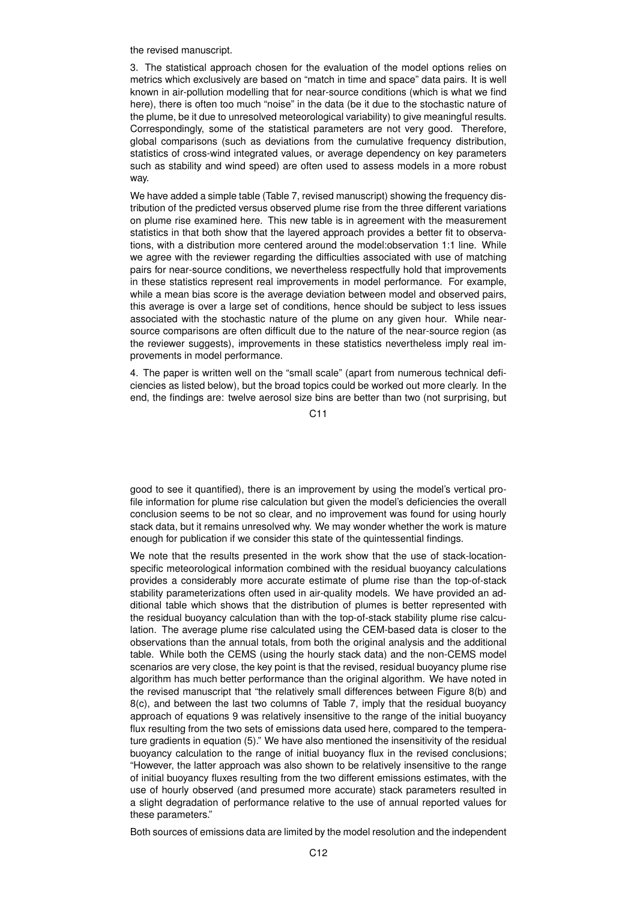the revised manuscript.

3. The statistical approach chosen for the evaluation of the model options relies on metrics which exclusively are based on "match in time and space" data pairs. It is well known in air-pollution modelling that for near-source conditions (which is what we find here), there is often too much "noise" in the data (be it due to the stochastic nature of the plume, be it due to unresolved meteorological variability) to give meaningful results. Correspondingly, some of the statistical parameters are not very good. Therefore, global comparisons (such as deviations from the cumulative frequency distribution, statistics of cross-wind integrated values, or average dependency on key parameters such as stability and wind speed) are often used to assess models in a more robust way.

We have added a simple table (Table 7, revised manuscript) showing the frequency distribution of the predicted versus observed plume rise from the three different variations on plume rise examined here. This new table is in agreement with the measurement statistics in that both show that the layered approach provides a better fit to observations, with a distribution more centered around the model:observation 1:1 line. While we agree with the reviewer regarding the difficulties associated with use of matching pairs for near-source conditions, we nevertheless respectfully hold that improvements in these statistics represent real improvements in model performance. For example, while a mean bias score is the average deviation between model and observed pairs, this average is over a large set of conditions, hence should be subject to less issues associated with the stochastic nature of the plume on any given hour. While nearsource comparisons are often difficult due to the nature of the near-source region (as the reviewer suggests), improvements in these statistics nevertheless imply real improvements in model performance.

4. The paper is written well on the "small scale" (apart from numerous technical deficiencies as listed below), but the broad topics could be worked out more clearly. In the end, the findings are: twelve aerosol size bins are better than two (not surprising, but

 $C<sub>11</sub>$ 

good to see it quantified), there is an improvement by using the model's vertical profile information for plume rise calculation but given the model's deficiencies the overall conclusion seems to be not so clear, and no improvement was found for using hourly stack data, but it remains unresolved why. We may wonder whether the work is mature enough for publication if we consider this state of the quintessential findings.

We note that the results presented in the work show that the use of stack-locationspecific meteorological information combined with the residual buoyancy calculations provides a considerably more accurate estimate of plume rise than the top-of-stack stability parameterizations often used in air-quality models. We have provided an additional table which shows that the distribution of plumes is better represented with the residual buoyancy calculation than with the top-of-stack stability plume rise calculation. The average plume rise calculated using the CEM-based data is closer to the observations than the annual totals, from both the original analysis and the additional table. While both the CEMS (using the hourly stack data) and the non-CEMS model scenarios are very close, the key point is that the revised, residual buoyancy plume rise algorithm has much better performance than the original algorithm. We have noted in the revised manuscript that "the relatively small differences between Figure 8(b) and 8(c), and between the last two columns of Table 7, imply that the residual buoyancy approach of equations 9 was relatively insensitive to the range of the initial buoyancy flux resulting from the two sets of emissions data used here, compared to the temperature gradients in equation (5)." We have also mentioned the insensitivity of the residual buoyancy calculation to the range of initial buoyancy flux in the revised conclusions; "However, the latter approach was also shown to be relatively insensitive to the range of initial buoyancy fluxes resulting from the two different emissions estimates, with the use of hourly observed (and presumed more accurate) stack parameters resulted in a slight degradation of performance relative to the use of annual reported values for these parameters."

Both sources of emissions data are limited by the model resolution and the independent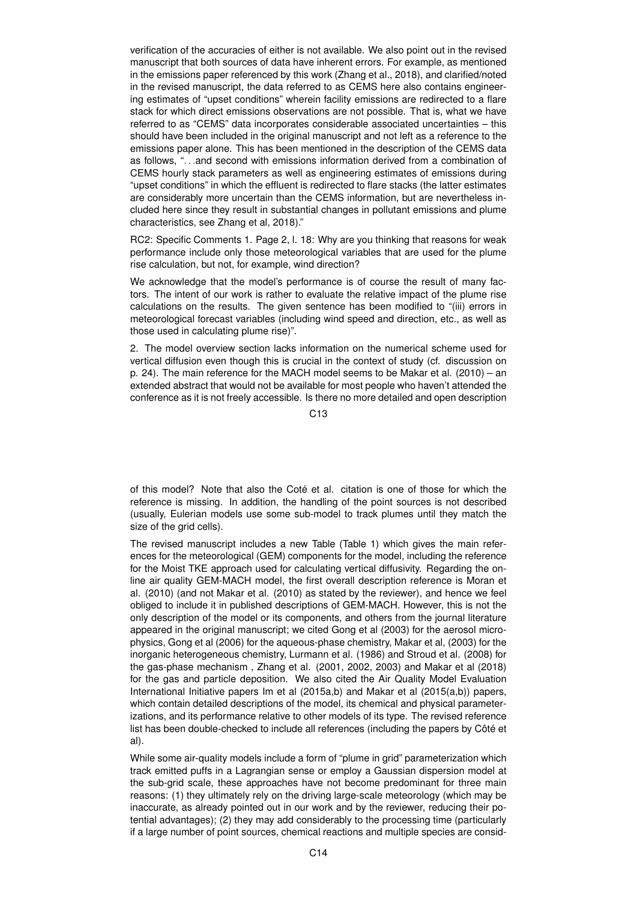verification of the accuracies of either is not available. We also point out in the revised manuscript that both sources of data have inherent errors. For example, as mentioned in the emissions paper referenced by this work (Zhang et al., 2018), and clarified/noted in the revised manuscript, the data referred to as CEMS here also contains engineering estimates of "upset conditions" wherein facility emissions are redirected to a flare stack for which direct emissions observations are not possible. That is, what we have referred to as "CEMS" data incorporates considerable associated uncertainties – this should have been included in the original manuscript and not left as a reference to the emissions paper alone. This has been mentioned in the description of the CEMS data as follows, ". . .and second with emissions information derived from a combination of CEMS hourly stack parameters as well as engineering estimates of emissions during "upset conditions" in which the effluent is redirected to flare stacks (the latter estimates are considerably more uncertain than the CEMS information, but are nevertheless included here since they result in substantial changes in pollutant emissions and plume characteristics, see Zhang et al, 2018)."

RC2: Specific Comments 1. Page 2, l. 18: Why are you thinking that reasons for weak performance include only those meteorological variables that are used for the plume rise calculation, but not, for example, wind direction?

We acknowledge that the model's performance is of course the result of many factors. The intent of our work is rather to evaluate the relative impact of the plume rise calculations on the results. The given sentence has been modified to "(iii) errors in meteorological forecast variables (including wind speed and direction, etc., as well as those used in calculating plume rise)".

2. The model overview section lacks information on the numerical scheme used for vertical diffusion even though this is crucial in the context of study (cf. discussion on p. 24). The main reference for the MACH model seems to be Makar et al. (2010) – an extended abstract that would not be available for most people who haven't attended the conference as it is not freely accessible. Is there no more detailed and open description

C13

of this model? Note that also the Coté et al. citation is one of those for which the reference is missing. In addition, the handling of the point sources is not described (usually, Eulerian models use some sub-model to track plumes until they match the size of the grid cells).

The revised manuscript includes a new Table (Table 1) which gives the main references for the meteorological (GEM) components for the model, including the reference for the Moist TKE approach used for calculating vertical diffusivity. Regarding the online air quality GEM-MACH model, the first overall description reference is Moran et al. (2010) (and not Makar et al. (2010) as stated by the reviewer), and hence we feel obliged to include it in published descriptions of GEM-MACH. However, this is not the only description of the model or its components, and others from the journal literature appeared in the original manuscript; we cited Gong et al (2003) for the aerosol microphysics, Gong et al (2006) for the aqueous-phase chemistry, Makar et al, (2003) for the inorganic heterogeneous chemistry, Lurmann et al. (1986) and Stroud et al. (2008) for the gas-phase mechanism , Zhang et al. (2001, 2002, 2003) and Makar et al (2018) for the gas and particle deposition. We also cited the Air Quality Model Evaluation International Initiative papers Im et al (2015a,b) and Makar et al (2015(a,b)) papers, which contain detailed descriptions of the model, its chemical and physical parameterizations, and its performance relative to other models of its type. The revised reference list has been double-checked to include all references (including the papers by Côté et al).

While some air-quality models include a form of "plume in grid" parameterization which track emitted puffs in a Lagrangian sense or employ a Gaussian dispersion model at the sub-grid scale, these approaches have not become predominant for three main reasons: (1) they ultimately rely on the driving large-scale meteorology (which may be inaccurate, as already pointed out in our work and by the reviewer, reducing their potential advantages); (2) they may add considerably to the processing time (particularly if a large number of point sources, chemical reactions and multiple species are consid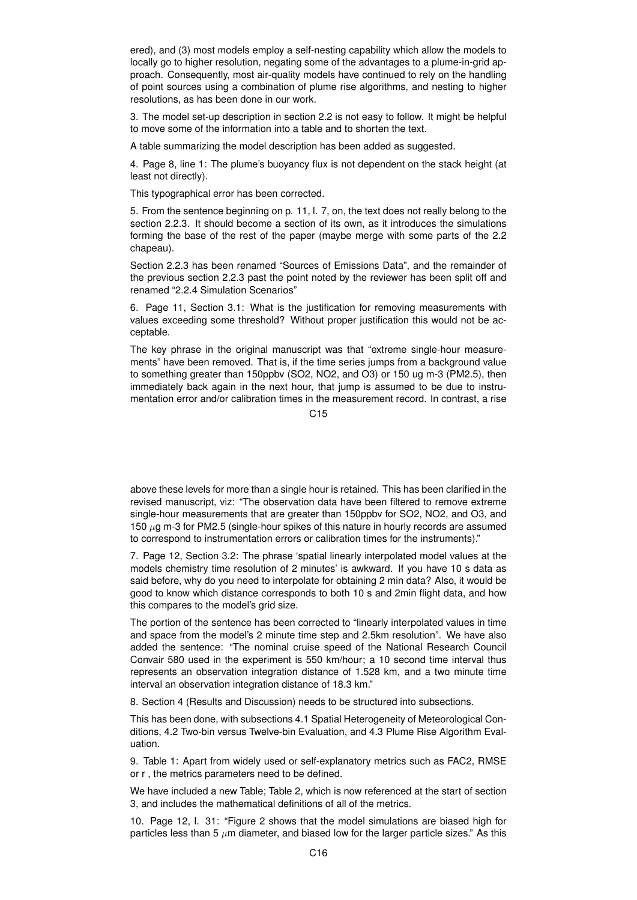ered), and (3) most models employ a self-nesting capability which allow the models to locally go to higher resolution, negating some of the advantages to a plume-in-grid approach. Consequently, most air-quality models have continued to rely on the handling of point sources using a combination of plume rise algorithms, and nesting to higher resolutions, as has been done in our work.

3. The model set-up description in section 2.2 is not easy to follow. It might be helpful to move some of the information into a table and to shorten the text.

A table summarizing the model description has been added as suggested.

4. Page 8, line 1: The plume's buoyancy flux is not dependent on the stack height (at least not directly).

This typographical error has been corrected.

5. From the sentence beginning on p. 11, l. 7, on, the text does not really belong to the section 2.2.3. It should become a section of its own, as it introduces the simulations forming the base of the rest of the paper (maybe merge with some parts of the 2.2 chapeau).

Section 2.2.3 has been renamed "Sources of Emissions Data", and the remainder of the previous section 2.2.3 past the point noted by the reviewer has been split off and renamed "2.2.4 Simulation Scenarios"

6. Page 11, Section 3.1: What is the justification for removing measurements with values exceeding some threshold? Without proper justification this would not be acceptable.

The key phrase in the original manuscript was that "extreme single-hour measurements" have been removed. That is, if the time series jumps from a background value to something greater than 150ppbv (SO2, NO2, and O3) or 150 ug m-3 (PM2.5), then immediately back again in the next hour, that jump is assumed to be due to instrumentation error and/or calibration times in the measurement record. In contrast, a rise

C<sub>15</sub>

above these levels for more than a single hour is retained. This has been clarified in the revised manuscript, viz: "The observation data have been filtered to remove extreme single-hour measurements that are greater than 150ppbv for SO2, NO2, and O3, and 150  $\mu$ g m-3 for PM2.5 (single-hour spikes of this nature in hourly records are assumed to correspond to instrumentation errors or calibration times for the instruments)."

7. Page 12, Section 3.2: The phrase 'spatial linearly interpolated model values at the models chemistry time resolution of 2 minutes' is awkward. If you have 10 s data as said before, why do you need to interpolate for obtaining 2 min data? Also, it would be good to know which distance corresponds to both 10 s and 2min flight data, and how this compares to the model's grid size.

The portion of the sentence has been corrected to "linearly interpolated values in time and space from the model's 2 minute time step and 2.5km resolution". We have also added the sentence: "The nominal cruise speed of the National Research Council Convair 580 used in the experiment is 550 km/hour; a 10 second time interval thus represents an observation integration distance of 1.528 km, and a two minute time interval an observation integration distance of 18.3 km."

8. Section 4 (Results and Discussion) needs to be structured into subsections.

This has been done, with subsections 4.1 Spatial Heterogeneity of Meteorological Conditions, 4.2 Two-bin versus Twelve-bin Evaluation, and 4.3 Plume Rise Algorithm Evaluation.

9. Table 1: Apart from widely used or self-explanatory metrics such as FAC2, RMSE or r , the metrics parameters need to be defined.

We have included a new Table; Table 2, which is now referenced at the start of section 3, and includes the mathematical definitions of all of the metrics.

10. Page 12, l. 31: "Figure 2 shows that the model simulations are biased high for particles less than 5  $\mu$ m diameter, and biased low for the larger particle sizes." As this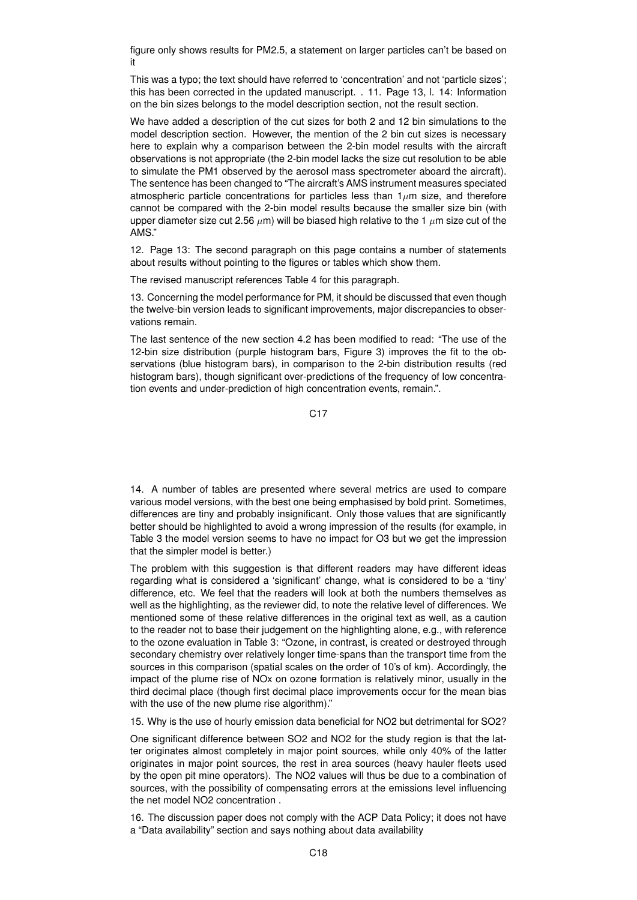figure only shows results for PM2.5, a statement on larger particles can't be based on it

This was a typo; the text should have referred to 'concentration' and not 'particle sizes'; this has been corrected in the updated manuscript. . 11. Page 13, l. 14: Information on the bin sizes belongs to the model description section, not the result section.

We have added a description of the cut sizes for both 2 and 12 bin simulations to the model description section. However, the mention of the 2 bin cut sizes is necessary here to explain why a comparison between the 2-bin model results with the aircraft observations is not appropriate (the 2-bin model lacks the size cut resolution to be able to simulate the PM1 observed by the aerosol mass spectrometer aboard the aircraft). The sentence has been changed to "The aircraft's AMS instrument measures speciated atmospheric particle concentrations for particles less than  $1\mu$ m size, and therefore cannot be compared with the 2-bin model results because the smaller size bin (with upper diameter size cut 2.56  $\mu$ m) will be biased high relative to the 1  $\mu$ m size cut of the AMS."

12. Page 13: The second paragraph on this page contains a number of statements about results without pointing to the figures or tables which show them.

The revised manuscript references Table 4 for this paragraph.

13. Concerning the model performance for PM, it should be discussed that even though the twelve-bin version leads to significant improvements, major discrepancies to observations remain.

The last sentence of the new section 4.2 has been modified to read: "The use of the 12-bin size distribution (purple histogram bars, Figure 3) improves the fit to the observations (blue histogram bars), in comparison to the 2-bin distribution results (red histogram bars), though significant over-predictions of the frequency of low concentration events and under-prediction of high concentration events, remain.".

C17

14. A number of tables are presented where several metrics are used to compare various model versions, with the best one being emphasised by bold print. Sometimes, differences are tiny and probably insignificant. Only those values that are significantly better should be highlighted to avoid a wrong impression of the results (for example, in Table 3 the model version seems to have no impact for O3 but we get the impression that the simpler model is better.)

The problem with this suggestion is that different readers may have different ideas regarding what is considered a 'significant' change, what is considered to be a 'tiny' difference, etc. We feel that the readers will look at both the numbers themselves as well as the highlighting, as the reviewer did, to note the relative level of differences. We mentioned some of these relative differences in the original text as well, as a caution to the reader not to base their judgement on the highlighting alone, e.g., with reference to the ozone evaluation in Table 3: "Ozone, in contrast, is created or destroyed through secondary chemistry over relatively longer time-spans than the transport time from the sources in this comparison (spatial scales on the order of 10's of km). Accordingly, the impact of the plume rise of NOx on ozone formation is relatively minor, usually in the third decimal place (though first decimal place improvements occur for the mean bias with the use of the new plume rise algorithm)."

15. Why is the use of hourly emission data beneficial for NO2 but detrimental for SO2?

One significant difference between SO2 and NO2 for the study region is that the latter originates almost completely in major point sources, while only 40% of the latter originates in major point sources, the rest in area sources (heavy hauler fleets used by the open pit mine operators). The NO2 values will thus be due to a combination of sources, with the possibility of compensating errors at the emissions level influencing the net model NO2 concentration .

16. The discussion paper does not comply with the ACP Data Policy; it does not have a "Data availability" section and says nothing about data availability